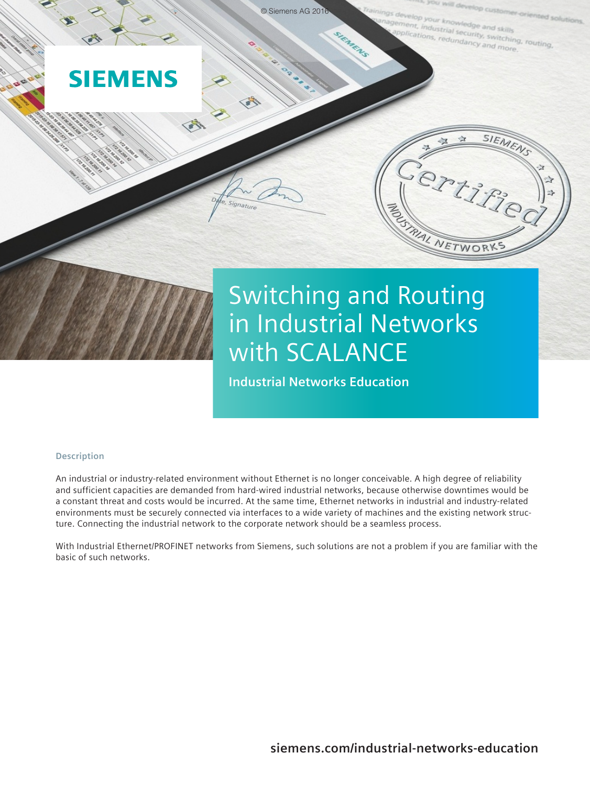

# in Industrial Networks with SCALANCE

**Industrial Networks Education**

## **Description**

An industrial or industry-related environment without Ethernet is no longer conceivable. A high degree of reliability and sufficient capacities are demanded from hard-wired industrial networks, because otherwise downtimes would be a constant threat and costs would be incurred. At the same time, Ethernet networks in industrial and industry-related environments must be securely connected via interfaces to a wide variety of machines and the existing network structure. Connecting the industrial network to the corporate network should be a seamless process.

With Industrial Ethernet/PROFINET networks from Siemens, such solutions are not a problem if you are familiar with the basic of such networks.